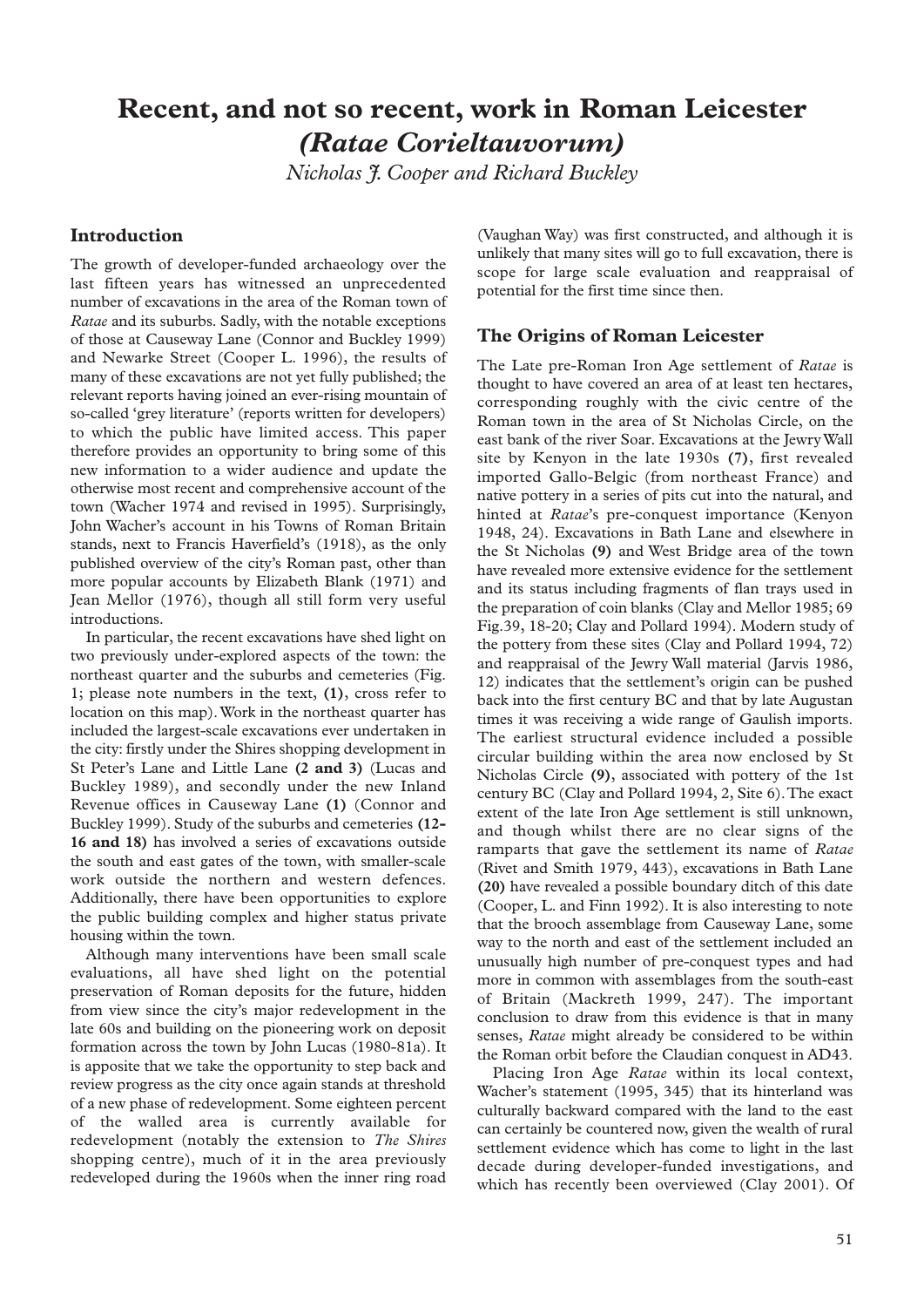# **Recent, and not so recent, work in Roman Leicester** *(Ratae Corieltauvorum)*

*Nicholas J. Cooper and Richard Buckley*

# **Introduction**

The growth of developer-funded archaeology over the last fifteen years has witnessed an unprecedented number of excavations in the area of the Roman town of *Ratae* and its suburbs. Sadly, with the notable exceptions of those at Causeway Lane (Connor and Buckley 1999) and Newarke Street (Cooper L. 1996), the results of many of these excavations are not yet fully published; the relevant reports having joined an ever-rising mountain of so-called 'grey literature' (reports written for developers) to which the public have limited access. This paper therefore provides an opportunity to bring some of this new information to a wider audience and update the otherwise most recent and comprehensive account of the town (Wacher 1974 and revised in 1995). Surprisingly, John Wacher's account in his Towns of Roman Britain stands, next to Francis Haverfield's (1918), as the only published overview of the city's Roman past, other than more popular accounts by Elizabeth Blank (1971) and Jean Mellor (1976), though all still form very useful introductions.

In particular, the recent excavations have shed light on two previously under-explored aspects of the town: the northeast quarter and the suburbs and cemeteries (Fig. 1; please note numbers in the text, **(1)**, cross refer to location on this map).Work in the northeast quarter has included the largest-scale excavations ever undertaken in the city: firstly under the Shires shopping development in St Peter's Lane and Little Lane **(2 and 3)** (Lucas and Buckley 1989), and secondly under the new Inland Revenue offices in Causeway Lane **(1)** (Connor and Buckley 1999). Study of the suburbs and cemeteries **(12- 16 and 18)** has involved a series of excavations outside the south and east gates of the town, with smaller-scale work outside the northern and western defences. Additionally, there have been opportunities to explore the public building complex and higher status private housing within the town.

Although many interventions have been small scale evaluations, all have shed light on the potential preservation of Roman deposits for the future, hidden from view since the city's major redevelopment in the late 60s and building on the pioneering work on deposit formation across the town by John Lucas (1980-81a). It is apposite that we take the opportunity to step back and review progress as the city once again stands at threshold of a new phase of redevelopment. Some eighteen percent of the walled area is currently available for redevelopment (notably the extension to *The Shires* shopping centre), much of it in the area previously redeveloped during the 1960s when the inner ring road (Vaughan Way) was first constructed, and although it is unlikely that many sites will go to full excavation, there is scope for large scale evaluation and reappraisal of potential for the first time since then.

# **The Origins of Roman Leicester**

The Late pre-Roman Iron Age settlement of *Ratae* is thought to have covered an area of at least ten hectares, corresponding roughly with the civic centre of the Roman town in the area of St Nicholas Circle, on the east bank of the river Soar. Excavations at the Jewry Wall site by Kenyon in the late 1930s **(7)**, first revealed imported Gallo-Belgic (from northeast France) and native pottery in a series of pits cut into the natural, and hinted at *Ratae*'s pre-conquest importance (Kenyon 1948, 24). Excavations in Bath Lane and elsewhere in the St Nicholas **(9)** and West Bridge area of the town have revealed more extensive evidence for the settlement and its status including fragments of flan trays used in the preparation of coin blanks (Clay and Mellor 1985; 69 Fig.39, 18-20; Clay and Pollard 1994). Modern study of the pottery from these sites (Clay and Pollard 1994, 72) and reappraisal of the Jewry Wall material (Jarvis 1986, 12) indicates that the settlement's origin can be pushed back into the first century BC and that by late Augustan times it was receiving a wide range of Gaulish imports. The earliest structural evidence included a possible circular building within the area now enclosed by St Nicholas Circle **(9)**, associated with pottery of the 1st century BC (Clay and Pollard 1994, 2, Site 6).The exact extent of the late Iron Age settlement is still unknown, and though whilst there are no clear signs of the ramparts that gave the settlement its name of *Ratae* (Rivet and Smith 1979, 443), excavations in Bath Lane **(20)** have revealed a possible boundary ditch of this date (Cooper, L. and Finn 1992). It is also interesting to note that the brooch assemblage from Causeway Lane, some way to the north and east of the settlement included an unusually high number of pre-conquest types and had more in common with assemblages from the south-east of Britain (Mackreth 1999, 247). The important conclusion to draw from this evidence is that in many senses, *Ratae* might already be considered to be within the Roman orbit before the Claudian conquest in AD43.

Placing Iron Age *Ratae* within its local context, Wacher's statement (1995, 345) that its hinterland was culturally backward compared with the land to the east can certainly be countered now, given the wealth of rural settlement evidence which has come to light in the last decade during developer-funded investigations, and which has recently been overviewed (Clay 2001). Of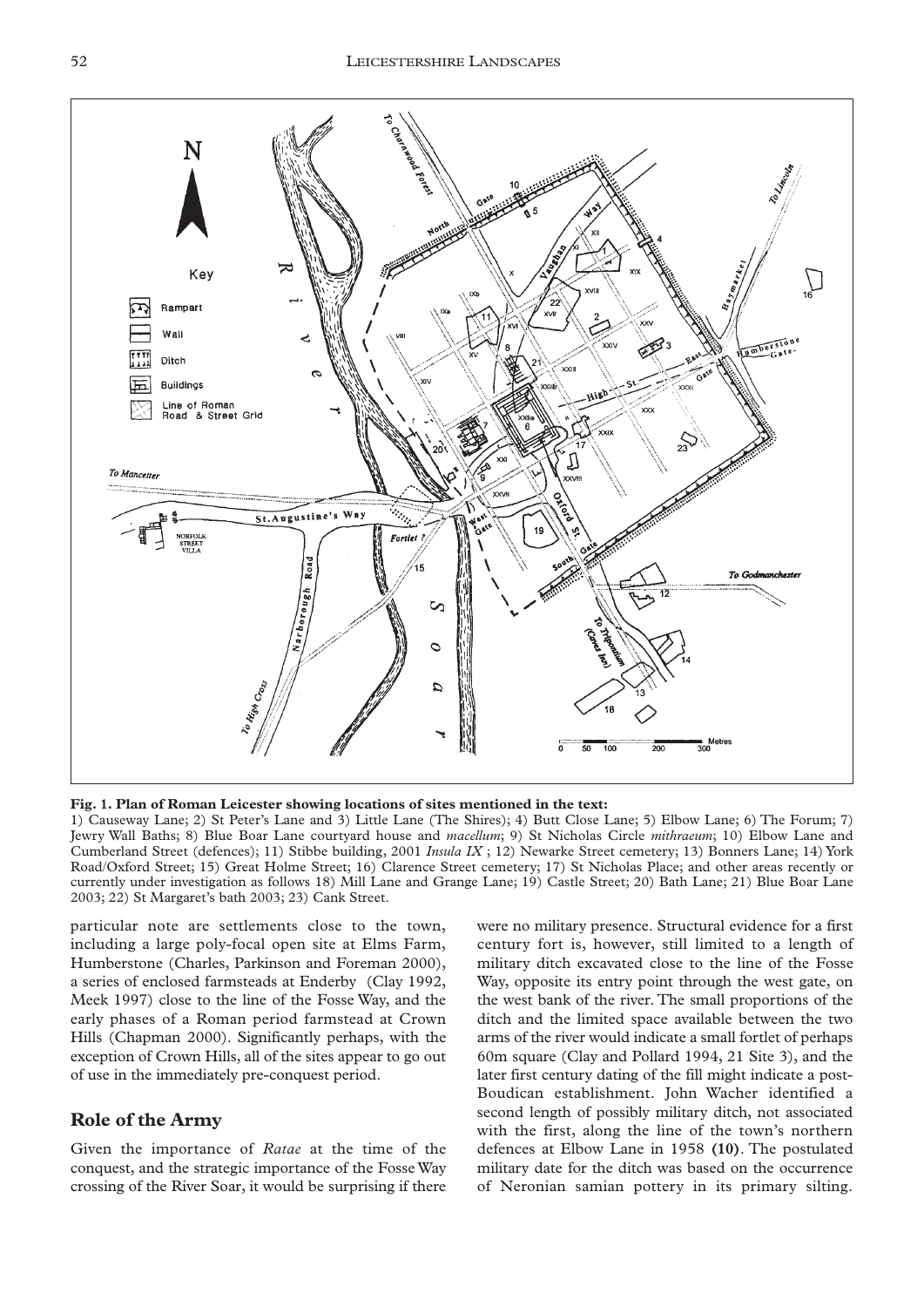

**Fig. 1. Plan of Roman Leicester showing locations of sites mentioned in the text:**

1) Causeway Lane; 2) St Peter's Lane and 3) Little Lane (The Shires); 4) Butt Close Lane; 5) Elbow Lane; 6) The Forum; 7) Jewry Wall Baths; 8) Blue Boar Lane courtyard house and *macellum*; 9) St Nicholas Circle *mithraeum*; 10) Elbow Lane and Cumberland Street (defences); 11) Stibbe building, 2001 *Insula IX* ; 12) Newarke Street cemetery; 13) Bonners Lane; 14) York Road/Oxford Street; 15) Great Holme Street; 16) Clarence Street cemetery; 17) St Nicholas Place; and other areas recently or currently under investigation as follows 18) Mill Lane and Grange Lane; 19) Castle Street; 20) Bath Lane; 21) Blue Boar Lane 2003; 22) St Margaret's bath 2003; 23) Cank Street.

particular note are settlements close to the town, including a large poly-focal open site at Elms Farm, Humberstone (Charles, Parkinson and Foreman 2000), a series of enclosed farmsteads at Enderby (Clay 1992, Meek 1997) close to the line of the Fosse Way, and the early phases of a Roman period farmstead at Crown Hills (Chapman 2000). Significantly perhaps, with the exception of Crown Hills, all of the sites appear to go out of use in the immediately pre-conquest period.

## **Role of the Army**

Given the importance of *Ratae* at the time of the conquest, and the strategic importance of the Fosse Way crossing of the River Soar, it would be surprising if there were no military presence. Structural evidence for a first century fort is, however, still limited to a length of military ditch excavated close to the line of the Fosse Way, opposite its entry point through the west gate, on the west bank of the river. The small proportions of the ditch and the limited space available between the two arms of the river would indicate a small fortlet of perhaps 60m square (Clay and Pollard 1994, 21 Site 3), and the later first century dating of the fill might indicate a post-Boudican establishment. John Wacher identified a second length of possibly military ditch, not associated with the first, along the line of the town's northern defences at Elbow Lane in 1958 **(10)**. The postulated military date for the ditch was based on the occurrence of Neronian samian pottery in its primary silting.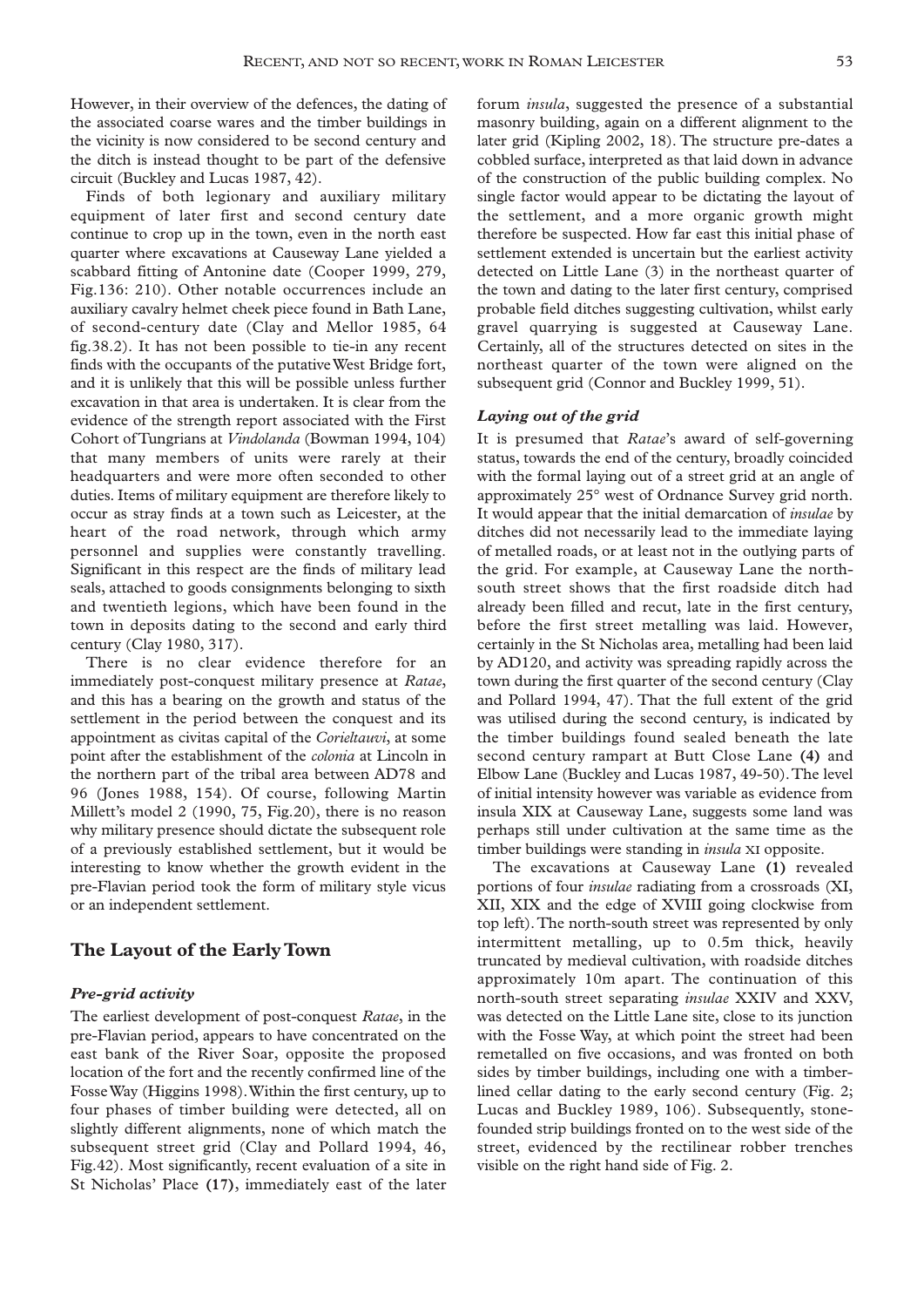However, in their overview of the defences, the dating of the associated coarse wares and the timber buildings in the vicinity is now considered to be second century and the ditch is instead thought to be part of the defensive circuit (Buckley and Lucas 1987, 42).

Finds of both legionary and auxiliary military equipment of later first and second century date continue to crop up in the town, even in the north east quarter where excavations at Causeway Lane yielded a scabbard fitting of Antonine date (Cooper 1999, 279, Fig.136: 210). Other notable occurrences include an auxiliary cavalry helmet cheek piece found in Bath Lane, of second-century date (Clay and Mellor 1985, 64 fig.38.2). It has not been possible to tie-in any recent finds with the occupants of the putative West Bridge fort, and it is unlikely that this will be possible unless further excavation in that area is undertaken. It is clear from the evidence of the strength report associated with the First Cohort of Tungrians at *Vindolanda* (Bowman 1994, 104) that many members of units were rarely at their headquarters and were more often seconded to other duties. Items of military equipment are therefore likely to occur as stray finds at a town such as Leicester, at the heart of the road network, through which army personnel and supplies were constantly travelling. Significant in this respect are the finds of military lead seals, attached to goods consignments belonging to sixth and twentieth legions, which have been found in the town in deposits dating to the second and early third century (Clay 1980, 317).

There is no clear evidence therefore for an immediately post-conquest military presence at *Ratae*, and this has a bearing on the growth and status of the settlement in the period between the conquest and its appointment as civitas capital of the *Corieltauvi*, at some point after the establishment of the *colonia* at Lincoln in the northern part of the tribal area between AD78 and 96 (Jones 1988, 154). Of course, following Martin Millett's model 2 (1990, 75, Fig.20), there is no reason why military presence should dictate the subsequent role of a previously established settlement, but it would be interesting to know whether the growth evident in the pre-Flavian period took the form of military style vicus or an independent settlement.

## **The Layout of the Early Town**

#### *Pre-grid activity*

The earliest development of post-conquest *Ratae*, in the pre-Flavian period, appears to have concentrated on the east bank of the River Soar, opposite the proposed location of the fort and the recently confirmed line of the Fosse Way (Higgins 1998).Within the first century, up to four phases of timber building were detected, all on slightly different alignments, none of which match the subsequent street grid (Clay and Pollard 1994, 46, Fig.42). Most significantly, recent evaluation of a site in St Nicholas' Place **(17)**, immediately east of the later forum *insula*, suggested the presence of a substantial masonry building, again on a different alignment to the later grid (Kipling 2002, 18). The structure pre-dates a cobbled surface, interpreted as that laid down in advance of the construction of the public building complex. No single factor would appear to be dictating the layout of the settlement, and a more organic growth might therefore be suspected. How far east this initial phase of settlement extended is uncertain but the earliest activity detected on Little Lane (3) in the northeast quarter of the town and dating to the later first century, comprised probable field ditches suggesting cultivation, whilst early gravel quarrying is suggested at Causeway Lane. Certainly, all of the structures detected on sites in the northeast quarter of the town were aligned on the subsequent grid (Connor and Buckley 1999, 51).

#### *Laying out of the grid*

It is presumed that *Ratae*'s award of self-governing status, towards the end of the century, broadly coincided with the formal laying out of a street grid at an angle of approximately 25° west of Ordnance Survey grid north. It would appear that the initial demarcation of *insulae* by ditches did not necessarily lead to the immediate laying of metalled roads, or at least not in the outlying parts of the grid. For example, at Causeway Lane the northsouth street shows that the first roadside ditch had already been filled and recut, late in the first century, before the first street metalling was laid. However, certainly in the St Nicholas area, metalling had been laid by AD120, and activity was spreading rapidly across the town during the first quarter of the second century (Clay and Pollard 1994, 47). That the full extent of the grid was utilised during the second century, is indicated by the timber buildings found sealed beneath the late second century rampart at Butt Close Lane **(4)** and Elbow Lane (Buckley and Lucas 1987, 49-50).The level of initial intensity however was variable as evidence from insula XIX at Causeway Lane, suggests some land was perhaps still under cultivation at the same time as the timber buildings were standing in *insula* XI opposite.

The excavations at Causeway Lane **(1)** revealed portions of four *insulae* radiating from a crossroads (XI, XII, XIX and the edge of XVIII going clockwise from top left).The north-south street was represented by only intermittent metalling, up to 0.5m thick, heavily truncated by medieval cultivation, with roadside ditches approximately 10m apart. The continuation of this north-south street separating *insulae* XXIV and XXV, was detected on the Little Lane site, close to its junction with the Fosse Way, at which point the street had been remetalled on five occasions, and was fronted on both sides by timber buildings, including one with a timberlined cellar dating to the early second century (Fig. 2; Lucas and Buckley 1989, 106). Subsequently, stonefounded strip buildings fronted on to the west side of the street, evidenced by the rectilinear robber trenches visible on the right hand side of Fig. 2.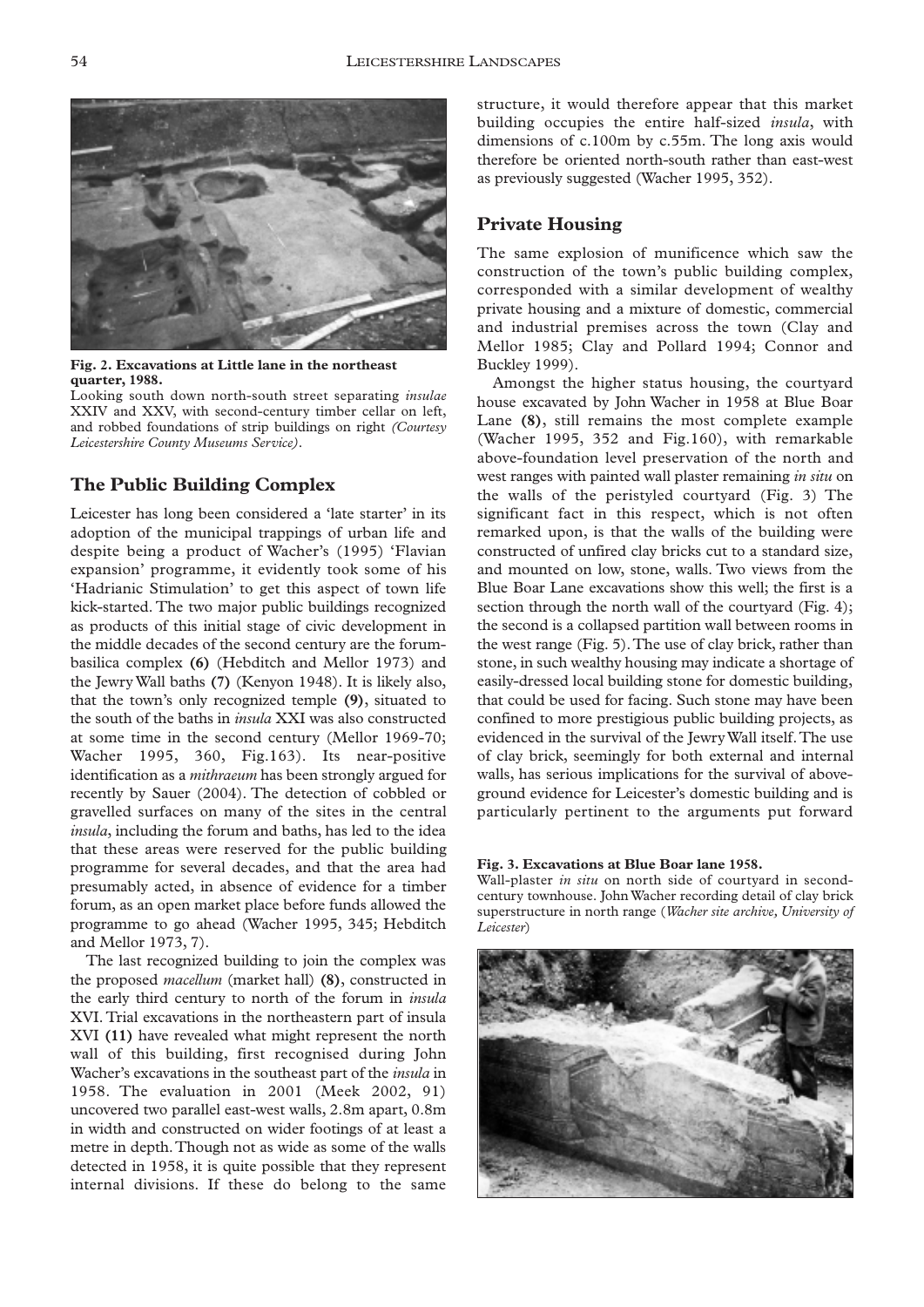

**Fig. 2. Excavations at Little lane in the northeast quarter, 1988.**

Looking south down north-south street separating *insulae* XXIV and XXV, with second-century timber cellar on left, and robbed foundations of strip buildings on right *(Courtesy Leicestershire County Museums Service).*

## **The Public Building Complex**

Leicester has long been considered a 'late starter' in its adoption of the municipal trappings of urban life and despite being a product of Wacher's (1995) 'Flavian expansion' programme, it evidently took some of his 'Hadrianic Stimulation' to get this aspect of town life kick-started. The two major public buildings recognized as products of this initial stage of civic development in the middle decades of the second century are the forumbasilica complex **(6)** (Hebditch and Mellor 1973) and the Jewry Wall baths **(7)** (Kenyon 1948). It is likely also, that the town's only recognized temple **(9)**, situated to the south of the baths in *insula* XXI was also constructed at some time in the second century (Mellor 1969-70; Wacher 1995, 360, Fig.163). Its near-positive identification as a *mithraeum* has been strongly argued for recently by Sauer (2004). The detection of cobbled or gravelled surfaces on many of the sites in the central *insula*, including the forum and baths, has led to the idea that these areas were reserved for the public building programme for several decades, and that the area had presumably acted, in absence of evidence for a timber forum, as an open market place before funds allowed the programme to go ahead (Wacher 1995, 345; Hebditch and Mellor 1973, 7).

The last recognized building to join the complex was the proposed *macellum* (market hall) **(8)**, constructed in the early third century to north of the forum in *insula* XVI. Trial excavations in the northeastern part of insula XVI **(11)** have revealed what might represent the north wall of this building, first recognised during John Wacher's excavations in the southeast part of the *insula* in 1958. The evaluation in 2001 (Meek 2002, 91) uncovered two parallel east-west walls, 2.8m apart, 0.8m in width and constructed on wider footings of at least a metre in depth.Though not as wide as some of the walls detected in 1958, it is quite possible that they represent internal divisions. If these do belong to the same

structure, it would therefore appear that this market building occupies the entire half-sized *insula*, with dimensions of c.100m by c.55m. The long axis would therefore be oriented north-south rather than east-west as previously suggested (Wacher 1995, 352).

## **Private Housing**

The same explosion of munificence which saw the construction of the town's public building complex, corresponded with a similar development of wealthy private housing and a mixture of domestic, commercial and industrial premises across the town (Clay and Mellor 1985; Clay and Pollard 1994; Connor and Buckley 1999).

Amongst the higher status housing, the courtyard house excavated by John Wacher in 1958 at Blue Boar Lane **(8)**, still remains the most complete example (Wacher 1995, 352 and Fig.160), with remarkable above-foundation level preservation of the north and west ranges with painted wall plaster remaining *in situ* on the walls of the peristyled courtyard (Fig. 3) The significant fact in this respect, which is not often remarked upon, is that the walls of the building were constructed of unfired clay bricks cut to a standard size, and mounted on low, stone, walls. Two views from the Blue Boar Lane excavations show this well; the first is a section through the north wall of the courtyard (Fig. 4); the second is a collapsed partition wall between rooms in the west range (Fig. 5).The use of clay brick, rather than stone, in such wealthy housing may indicate a shortage of easily-dressed local building stone for domestic building, that could be used for facing. Such stone may have been confined to more prestigious public building projects, as evidenced in the survival of the Jewry Wall itself.The use of clay brick, seemingly for both external and internal walls, has serious implications for the survival of aboveground evidence for Leicester's domestic building and is particularly pertinent to the arguments put forward

#### **Fig. 3. Excavations at Blue Boar lane 1958.**

Wall-plaster *in situ* on north side of courtyard in secondcentury townhouse. John Wacher recording detail of clay brick superstructure in north range (*Wacher site archive, University of Leicester*)

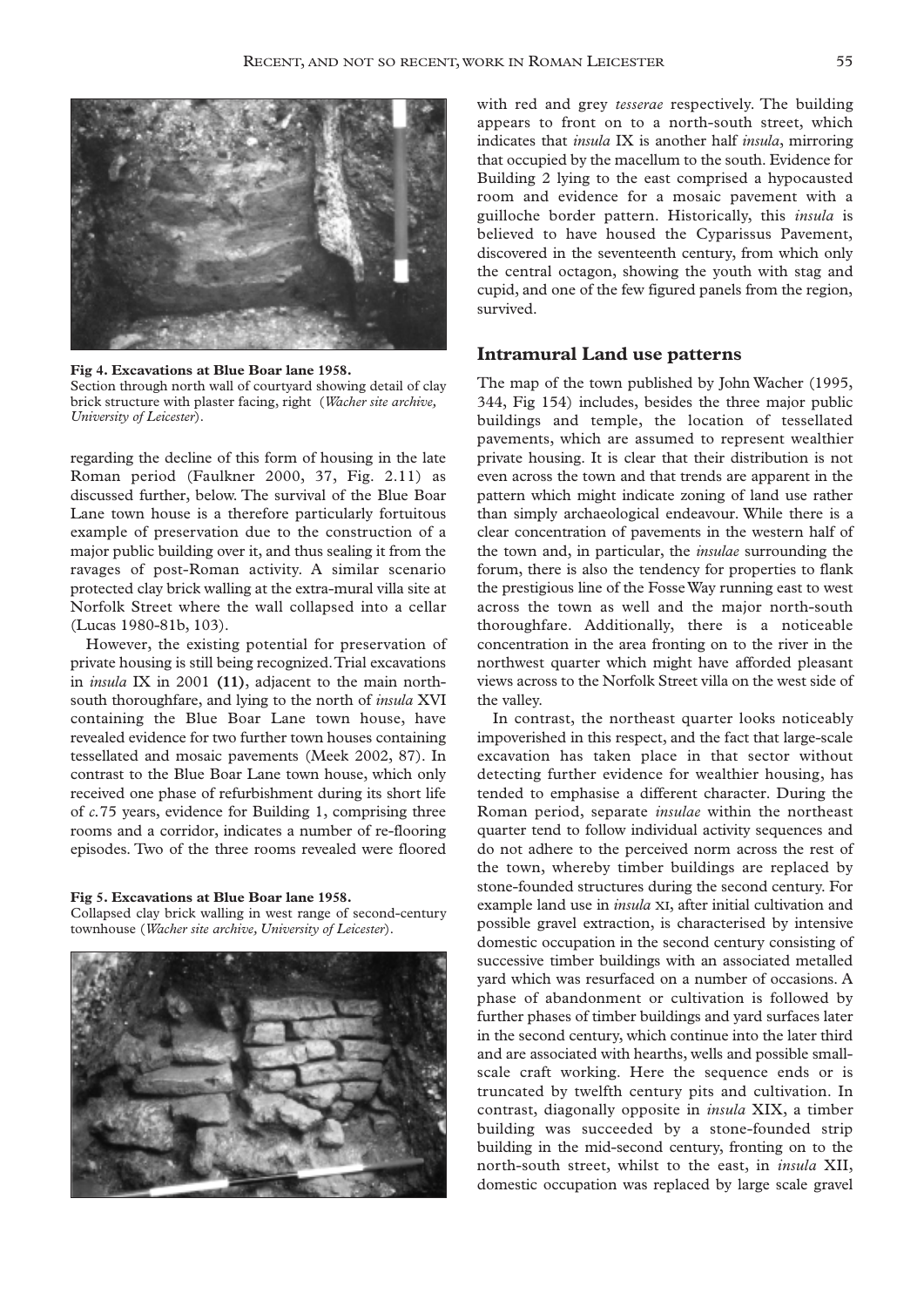

**Fig 4. Excavations at Blue Boar lane 1958.** Section through north wall of courtyard showing detail of clay brick structure with plaster facing, right (*Wacher site archive, University of Leicester*).

regarding the decline of this form of housing in the late Roman period (Faulkner 2000, 37, Fig. 2.11) as discussed further, below. The survival of the Blue Boar Lane town house is a therefore particularly fortuitous example of preservation due to the construction of a major public building over it, and thus sealing it from the ravages of post-Roman activity. A similar scenario protected clay brick walling at the extra-mural villa site at Norfolk Street where the wall collapsed into a cellar (Lucas 1980-81b, 103).

However, the existing potential for preservation of private housing is still being recognized.Trial excavations in *insula* IX in 2001 **(11)**, adjacent to the main northsouth thoroughfare, and lying to the north of *insula* XVI containing the Blue Boar Lane town house, have revealed evidence for two further town houses containing tessellated and mosaic pavements (Meek 2002, 87). In contrast to the Blue Boar Lane town house, which only received one phase of refurbishment during its short life of *c.*75 years, evidence for Building 1, comprising three rooms and a corridor, indicates a number of re-flooring episodes. Two of the three rooms revealed were floored

# **Fig 5. Excavations at Blue Boar lane 1958.**

Collapsed clay brick walling in west range of second-century townhouse (*Wacher site archive, University of Leicester*).



with red and grey *tesserae* respectively. The building appears to front on to a north-south street, which indicates that *insula* IX is another half *insula*, mirroring that occupied by the macellum to the south. Evidence for Building 2 lying to the east comprised a hypocausted room and evidence for a mosaic pavement with a guilloche border pattern. Historically, this *insula* is believed to have housed the Cyparissus Pavement, discovered in the seventeenth century, from which only the central octagon, showing the youth with stag and cupid, and one of the few figured panels from the region, survived.

#### **Intramural Land use patterns**

The map of the town published by John Wacher (1995, 344, Fig 154) includes, besides the three major public buildings and temple, the location of tessellated pavements, which are assumed to represent wealthier private housing. It is clear that their distribution is not even across the town and that trends are apparent in the pattern which might indicate zoning of land use rather than simply archaeological endeavour. While there is a clear concentration of pavements in the western half of the town and, in particular, the *insulae* surrounding the forum, there is also the tendency for properties to flank the prestigious line of the Fosse Way running east to west across the town as well and the major north-south thoroughfare. Additionally, there is a noticeable concentration in the area fronting on to the river in the northwest quarter which might have afforded pleasant views across to the Norfolk Street villa on the west side of the valley.

In contrast, the northeast quarter looks noticeably impoverished in this respect, and the fact that large-scale excavation has taken place in that sector without detecting further evidence for wealthier housing, has tended to emphasise a different character. During the Roman period, separate *insulae* within the northeast quarter tend to follow individual activity sequences and do not adhere to the perceived norm across the rest of the town, whereby timber buildings are replaced by stone-founded structures during the second century. For example land use in *insula* XI, after initial cultivation and possible gravel extraction, is characterised by intensive domestic occupation in the second century consisting of successive timber buildings with an associated metalled yard which was resurfaced on a number of occasions. A phase of abandonment or cultivation is followed by further phases of timber buildings and yard surfaces later in the second century, which continue into the later third and are associated with hearths, wells and possible smallscale craft working. Here the sequence ends or is truncated by twelfth century pits and cultivation. In contrast, diagonally opposite in *insula* XIX, a timber building was succeeded by a stone-founded strip building in the mid-second century, fronting on to the north-south street, whilst to the east, in *insula* XII, domestic occupation was replaced by large scale gravel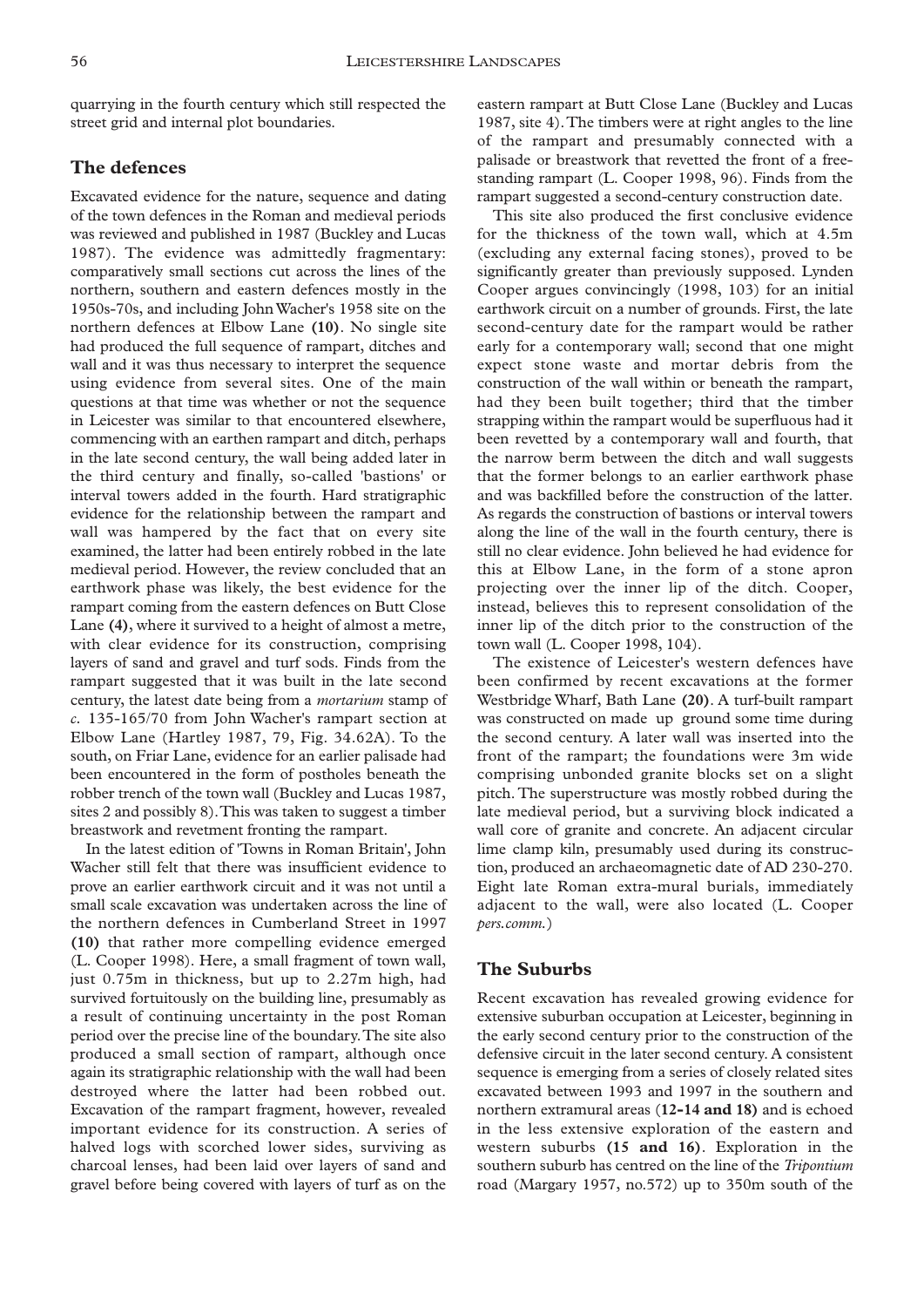quarrying in the fourth century which still respected the street grid and internal plot boundaries.

# **The defences**

Excavated evidence for the nature, sequence and dating of the town defences in the Roman and medieval periods was reviewed and published in 1987 (Buckley and Lucas 1987). The evidence was admittedly fragmentary: comparatively small sections cut across the lines of the northern, southern and eastern defences mostly in the 1950s-70s, and including John Wacher's 1958 site on the northern defences at Elbow Lane **(10)**. No single site had produced the full sequence of rampart, ditches and wall and it was thus necessary to interpret the sequence using evidence from several sites. One of the main questions at that time was whether or not the sequence in Leicester was similar to that encountered elsewhere, commencing with an earthen rampart and ditch, perhaps in the late second century, the wall being added later in the third century and finally, so-called 'bastions' or interval towers added in the fourth. Hard stratigraphic evidence for the relationship between the rampart and wall was hampered by the fact that on every site examined, the latter had been entirely robbed in the late medieval period. However, the review concluded that an earthwork phase was likely, the best evidence for the rampart coming from the eastern defences on Butt Close Lane **(4)**, where it survived to a height of almost a metre, with clear evidence for its construction, comprising layers of sand and gravel and turf sods. Finds from the rampart suggested that it was built in the late second century, the latest date being from a *mortarium* stamp of *c.* 135-165/70 from John Wacher's rampart section at Elbow Lane (Hartley 1987, 79, Fig. 34.62A). To the south, on Friar Lane, evidence for an earlier palisade had been encountered in the form of postholes beneath the robber trench of the town wall (Buckley and Lucas 1987, sites 2 and possibly 8).This was taken to suggest a timber breastwork and revetment fronting the rampart.

In the latest edition of 'Towns in Roman Britain', John Wacher still felt that there was insufficient evidence to prove an earlier earthwork circuit and it was not until a small scale excavation was undertaken across the line of the northern defences in Cumberland Street in 1997 **(10)** that rather more compelling evidence emerged (L. Cooper 1998). Here, a small fragment of town wall, just 0.75m in thickness, but up to 2.27m high, had survived fortuitously on the building line, presumably as a result of continuing uncertainty in the post Roman period over the precise line of the boundary.The site also produced a small section of rampart, although once again its stratigraphic relationship with the wall had been destroyed where the latter had been robbed out. Excavation of the rampart fragment, however, revealed important evidence for its construction. A series of halved logs with scorched lower sides, surviving as charcoal lenses, had been laid over layers of sand and gravel before being covered with layers of turf as on the

eastern rampart at Butt Close Lane (Buckley and Lucas 1987, site 4).The timbers were at right angles to the line of the rampart and presumably connected with a palisade or breastwork that revetted the front of a freestanding rampart (L. Cooper 1998, 96). Finds from the rampart suggested a second-century construction date.

This site also produced the first conclusive evidence for the thickness of the town wall, which at 4.5m (excluding any external facing stones), proved to be significantly greater than previously supposed. Lynden Cooper argues convincingly (1998, 103) for an initial earthwork circuit on a number of grounds. First, the late second-century date for the rampart would be rather early for a contemporary wall; second that one might expect stone waste and mortar debris from the construction of the wall within or beneath the rampart, had they been built together; third that the timber strapping within the rampart would be superfluous had it been revetted by a contemporary wall and fourth, that the narrow berm between the ditch and wall suggests that the former belongs to an earlier earthwork phase and was backfilled before the construction of the latter. As regards the construction of bastions or interval towers along the line of the wall in the fourth century, there is still no clear evidence. John believed he had evidence for this at Elbow Lane, in the form of a stone apron projecting over the inner lip of the ditch. Cooper, instead, believes this to represent consolidation of the inner lip of the ditch prior to the construction of the town wall (L. Cooper 1998, 104).

The existence of Leicester's western defences have been confirmed by recent excavations at the former Westbridge Wharf, Bath Lane **(20)**. A turf-built rampart was constructed on made up ground some time during the second century. A later wall was inserted into the front of the rampart; the foundations were 3m wide comprising unbonded granite blocks set on a slight pitch. The superstructure was mostly robbed during the late medieval period, but a surviving block indicated a wall core of granite and concrete. An adjacent circular lime clamp kiln, presumably used during its construction, produced an archaeomagnetic date of AD 230-270. Eight late Roman extra-mural burials, immediately adjacent to the wall, were also located (L. Cooper *pers.comm.*)

## **The Suburbs**

Recent excavation has revealed growing evidence for extensive suburban occupation at Leicester, beginning in the early second century prior to the construction of the defensive circuit in the later second century. A consistent sequence is emerging from a series of closely related sites excavated between 1993 and 1997 in the southern and northern extramural areas (**12-14 and 18)** and is echoed in the less extensive exploration of the eastern and western suburbs **(15 and 16)**. Exploration in the southern suburb has centred on the line of the *Tripontium* road (Margary 1957, no.572) up to 350m south of the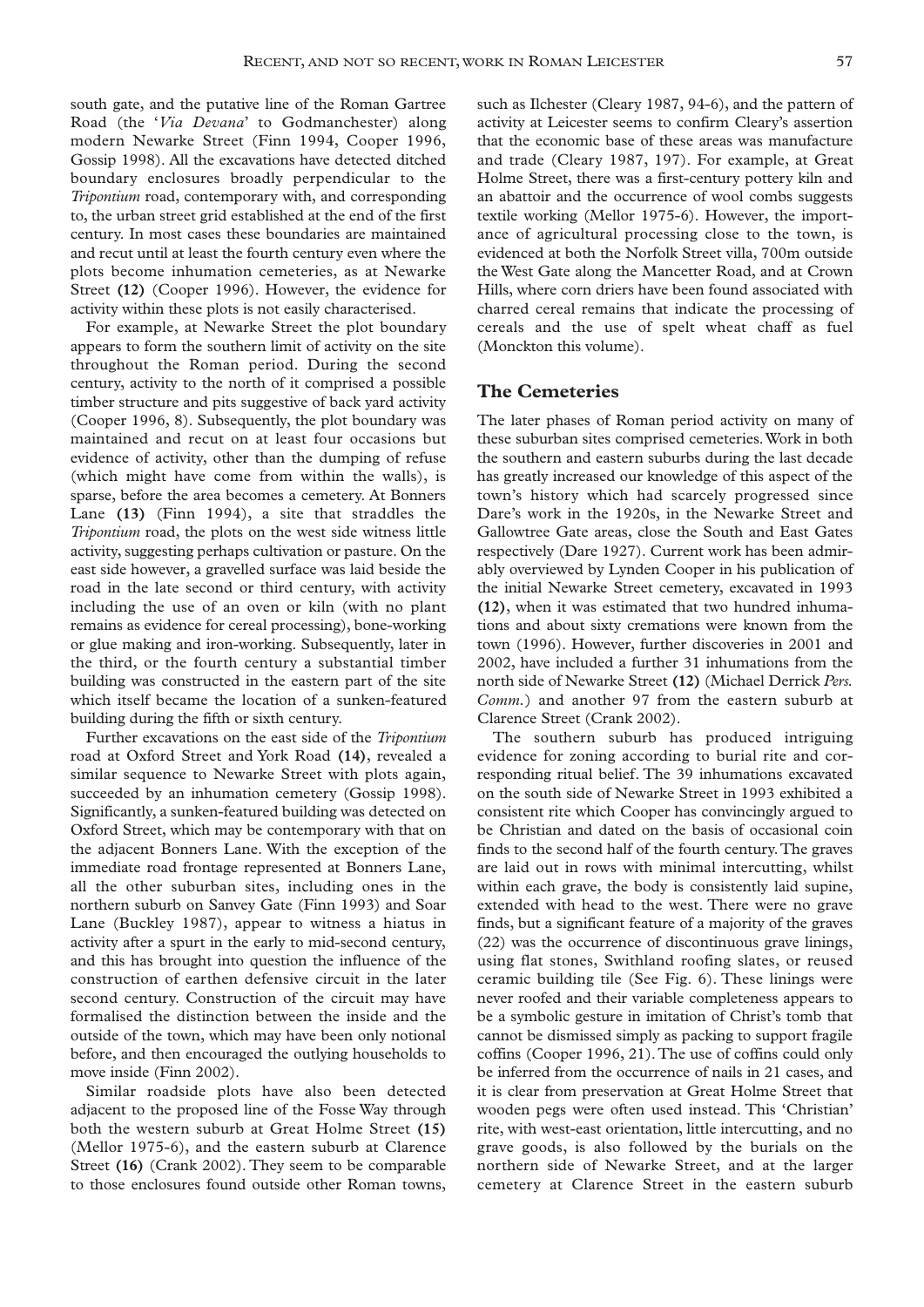south gate, and the putative line of the Roman Gartree Road (the '*Via Devana*' to Godmanchester) along modern Newarke Street (Finn 1994, Cooper 1996, Gossip 1998). All the excavations have detected ditched boundary enclosures broadly perpendicular to the *Tripontium* road, contemporary with, and corresponding to, the urban street grid established at the end of the first century. In most cases these boundaries are maintained and recut until at least the fourth century even where the plots become inhumation cemeteries, as at Newarke Street **(12)** (Cooper 1996). However, the evidence for activity within these plots is not easily characterised.

For example, at Newarke Street the plot boundary appears to form the southern limit of activity on the site throughout the Roman period. During the second century, activity to the north of it comprised a possible timber structure and pits suggestive of back yard activity (Cooper 1996, 8). Subsequently, the plot boundary was maintained and recut on at least four occasions but evidence of activity, other than the dumping of refuse (which might have come from within the walls), is sparse, before the area becomes a cemetery. At Bonners Lane **(13)** (Finn 1994), a site that straddles the *Tripontium* road, the plots on the west side witness little activity, suggesting perhaps cultivation or pasture. On the east side however, a gravelled surface was laid beside the road in the late second or third century, with activity including the use of an oven or kiln (with no plant remains as evidence for cereal processing), bone-working or glue making and iron-working. Subsequently, later in the third, or the fourth century a substantial timber building was constructed in the eastern part of the site which itself became the location of a sunken-featured building during the fifth or sixth century.

Further excavations on the east side of the *Tripontium* road at Oxford Street and York Road **(14)**, revealed a similar sequence to Newarke Street with plots again, succeeded by an inhumation cemetery (Gossip 1998). Significantly, a sunken-featured building was detected on Oxford Street, which may be contemporary with that on the adjacent Bonners Lane. With the exception of the immediate road frontage represented at Bonners Lane, all the other suburban sites, including ones in the northern suburb on Sanvey Gate (Finn 1993) and Soar Lane (Buckley 1987), appear to witness a hiatus in activity after a spurt in the early to mid-second century, and this has brought into question the influence of the construction of earthen defensive circuit in the later second century. Construction of the circuit may have formalised the distinction between the inside and the outside of the town, which may have been only notional before, and then encouraged the outlying households to move inside (Finn 2002).

Similar roadside plots have also been detected adjacent to the proposed line of the Fosse Way through both the western suburb at Great Holme Street **(15)** (Mellor 1975-6), and the eastern suburb at Clarence Street **(16)** (Crank 2002). They seem to be comparable to those enclosures found outside other Roman towns, such as Ilchester (Cleary 1987, 94-6), and the pattern of activity at Leicester seems to confirm Cleary's assertion that the economic base of these areas was manufacture and trade (Cleary 1987, 197). For example, at Great Holme Street, there was a first-century pottery kiln and an abattoir and the occurrence of wool combs suggests textile working (Mellor 1975-6). However, the importance of agricultural processing close to the town, is evidenced at both the Norfolk Street villa, 700m outside the West Gate along the Mancetter Road, and at Crown Hills, where corn driers have been found associated with charred cereal remains that indicate the processing of cereals and the use of spelt wheat chaff as fuel (Monckton this volume).

## **The Cemeteries**

The later phases of Roman period activity on many of these suburban sites comprised cemeteries.Work in both the southern and eastern suburbs during the last decade has greatly increased our knowledge of this aspect of the town's history which had scarcely progressed since Dare's work in the 1920s, in the Newarke Street and Gallowtree Gate areas, close the South and East Gates respectively (Dare 1927). Current work has been admirably overviewed by Lynden Cooper in his publication of the initial Newarke Street cemetery, excavated in 1993 **(12)**, when it was estimated that two hundred inhumations and about sixty cremations were known from the town (1996). However, further discoveries in 2001 and 2002, have included a further 31 inhumations from the north side of Newarke Street **(12)** (Michael Derrick *Pers. Comm.*) and another 97 from the eastern suburb at Clarence Street (Crank 2002).

The southern suburb has produced intriguing evidence for zoning according to burial rite and corresponding ritual belief. The 39 inhumations excavated on the south side of Newarke Street in 1993 exhibited a consistent rite which Cooper has convincingly argued to be Christian and dated on the basis of occasional coin finds to the second half of the fourth century.The graves are laid out in rows with minimal intercutting, whilst within each grave, the body is consistently laid supine, extended with head to the west. There were no grave finds, but a significant feature of a majority of the graves (22) was the occurrence of discontinuous grave linings, using flat stones, Swithland roofing slates, or reused ceramic building tile (See Fig. 6). These linings were never roofed and their variable completeness appears to be a symbolic gesture in imitation of Christ's tomb that cannot be dismissed simply as packing to support fragile coffins (Cooper 1996, 21).The use of coffins could only be inferred from the occurrence of nails in 21 cases, and it is clear from preservation at Great Holme Street that wooden pegs were often used instead. This 'Christian' rite, with west-east orientation, little intercutting, and no grave goods, is also followed by the burials on the northern side of Newarke Street, and at the larger cemetery at Clarence Street in the eastern suburb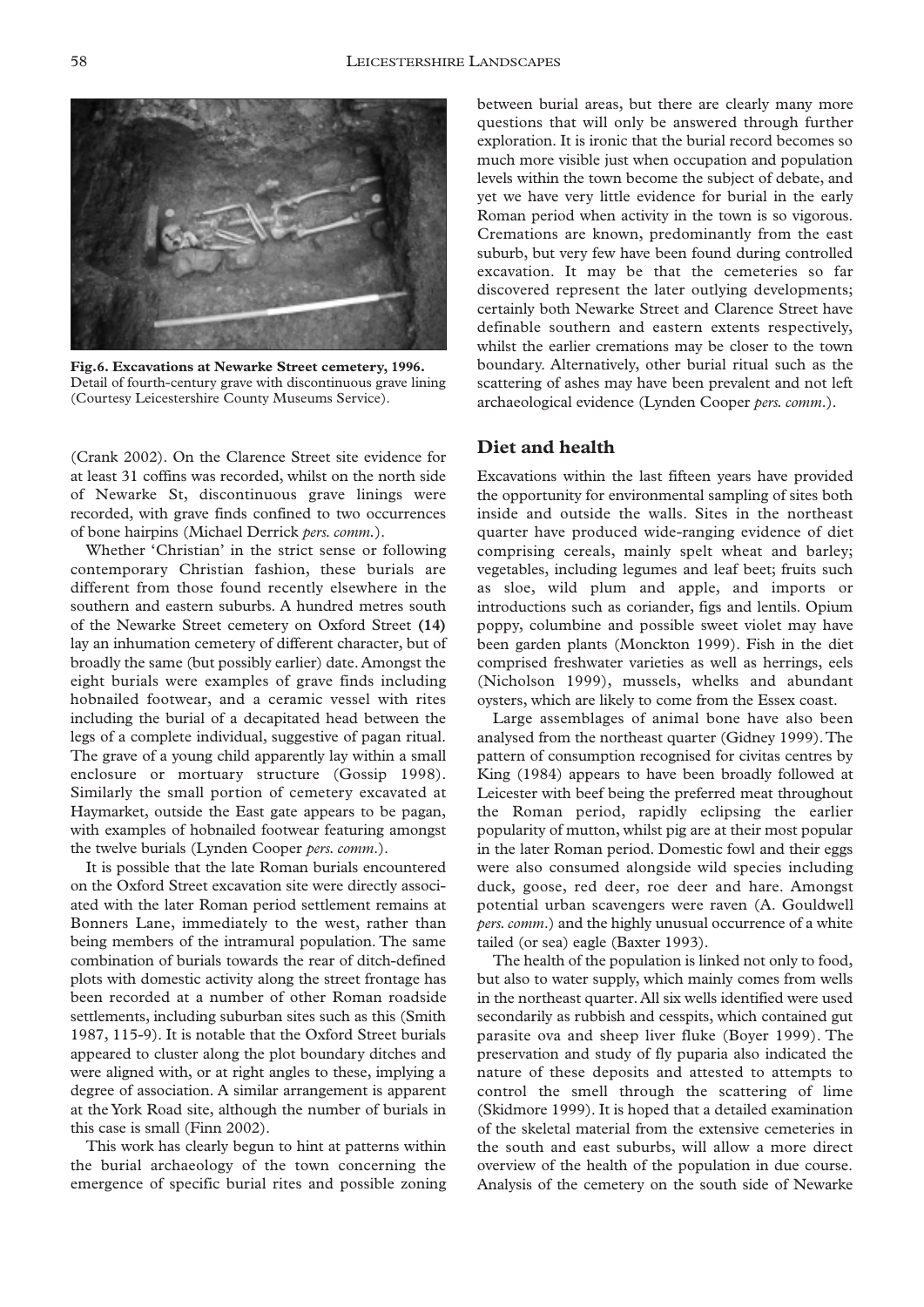

**Fig.6. Excavations at Newarke Street cemetery, 1996.** Detail of fourth-century grave with discontinuous grave lining (Courtesy Leicestershire County Museums Service).

(Crank 2002). On the Clarence Street site evidence for at least 31 coffins was recorded, whilst on the north side of Newarke St, discontinuous grave linings were recorded, with grave finds confined to two occurrences of bone hairpins (Michael Derrick *pers. comm.*).

Whether 'Christian' in the strict sense or following contemporary Christian fashion, these burials are different from those found recently elsewhere in the southern and eastern suburbs. A hundred metres south of the Newarke Street cemetery on Oxford Street **(14)** lay an inhumation cemetery of different character, but of broadly the same (but possibly earlier) date. Amongst the eight burials were examples of grave finds including hobnailed footwear, and a ceramic vessel with rites including the burial of a decapitated head between the legs of a complete individual, suggestive of pagan ritual. The grave of a young child apparently lay within a small enclosure or mortuary structure (Gossip 1998). Similarly the small portion of cemetery excavated at Haymarket, outside the East gate appears to be pagan, with examples of hobnailed footwear featuring amongst the twelve burials (Lynden Cooper *pers. comm*.).

It is possible that the late Roman burials encountered on the Oxford Street excavation site were directly associated with the later Roman period settlement remains at Bonners Lane, immediately to the west, rather than being members of the intramural population. The same combination of burials towards the rear of ditch-defined plots with domestic activity along the street frontage has been recorded at a number of other Roman roadside settlements, including suburban sites such as this (Smith 1987, 115-9). It is notable that the Oxford Street burials appeared to cluster along the plot boundary ditches and were aligned with, or at right angles to these, implying a degree of association. A similar arrangement is apparent at the York Road site, although the number of burials in this case is small (Finn 2002).

This work has clearly begun to hint at patterns within the burial archaeology of the town concerning the emergence of specific burial rites and possible zoning

between burial areas, but there are clearly many more questions that will only be answered through further exploration. It is ironic that the burial record becomes so much more visible just when occupation and population levels within the town become the subject of debate, and yet we have very little evidence for burial in the early Roman period when activity in the town is so vigorous. Cremations are known, predominantly from the east suburb, but very few have been found during controlled excavation. It may be that the cemeteries so far discovered represent the later outlying developments; certainly both Newarke Street and Clarence Street have definable southern and eastern extents respectively, whilst the earlier cremations may be closer to the town boundary. Alternatively, other burial ritual such as the scattering of ashes may have been prevalent and not left archaeological evidence (Lynden Cooper *pers. comm*.).

#### **Diet and health**

Excavations within the last fifteen years have provided the opportunity for environmental sampling of sites both inside and outside the walls. Sites in the northeast quarter have produced wide-ranging evidence of diet comprising cereals, mainly spelt wheat and barley; vegetables, including legumes and leaf beet; fruits such as sloe, wild plum and apple, and imports or introductions such as coriander, figs and lentils. Opium poppy, columbine and possible sweet violet may have been garden plants (Monckton 1999). Fish in the diet comprised freshwater varieties as well as herrings, eels (Nicholson 1999), mussels, whelks and abundant oysters, which are likely to come from the Essex coast.

Large assemblages of animal bone have also been analysed from the northeast quarter (Gidney 1999).The pattern of consumption recognised for civitas centres by King (1984) appears to have been broadly followed at Leicester with beef being the preferred meat throughout the Roman period, rapidly eclipsing the earlier popularity of mutton, whilst pig are at their most popular in the later Roman period. Domestic fowl and their eggs were also consumed alongside wild species including duck, goose, red deer, roe deer and hare. Amongst potential urban scavengers were raven (A. Gouldwell *pers.comm*.) and the highly unusual occurrence of a white tailed (or sea) eagle (Baxter 1993).

The health of the population is linked not only to food, but also to water supply, which mainly comes from wells in the northeast quarter. All six wells identified were used secondarily as rubbish and cesspits, which contained gut parasite ova and sheep liver fluke (Boyer 1999). The preservation and study of fly puparia also indicated the nature of these deposits and attested to attempts to control the smell through the scattering of lime (Skidmore 1999). It is hoped that a detailed examination of the skeletal material from the extensive cemeteries in the south and east suburbs, will allow a more direct overview of the health of the population in due course. Analysis of the cemetery on the south side of Newarke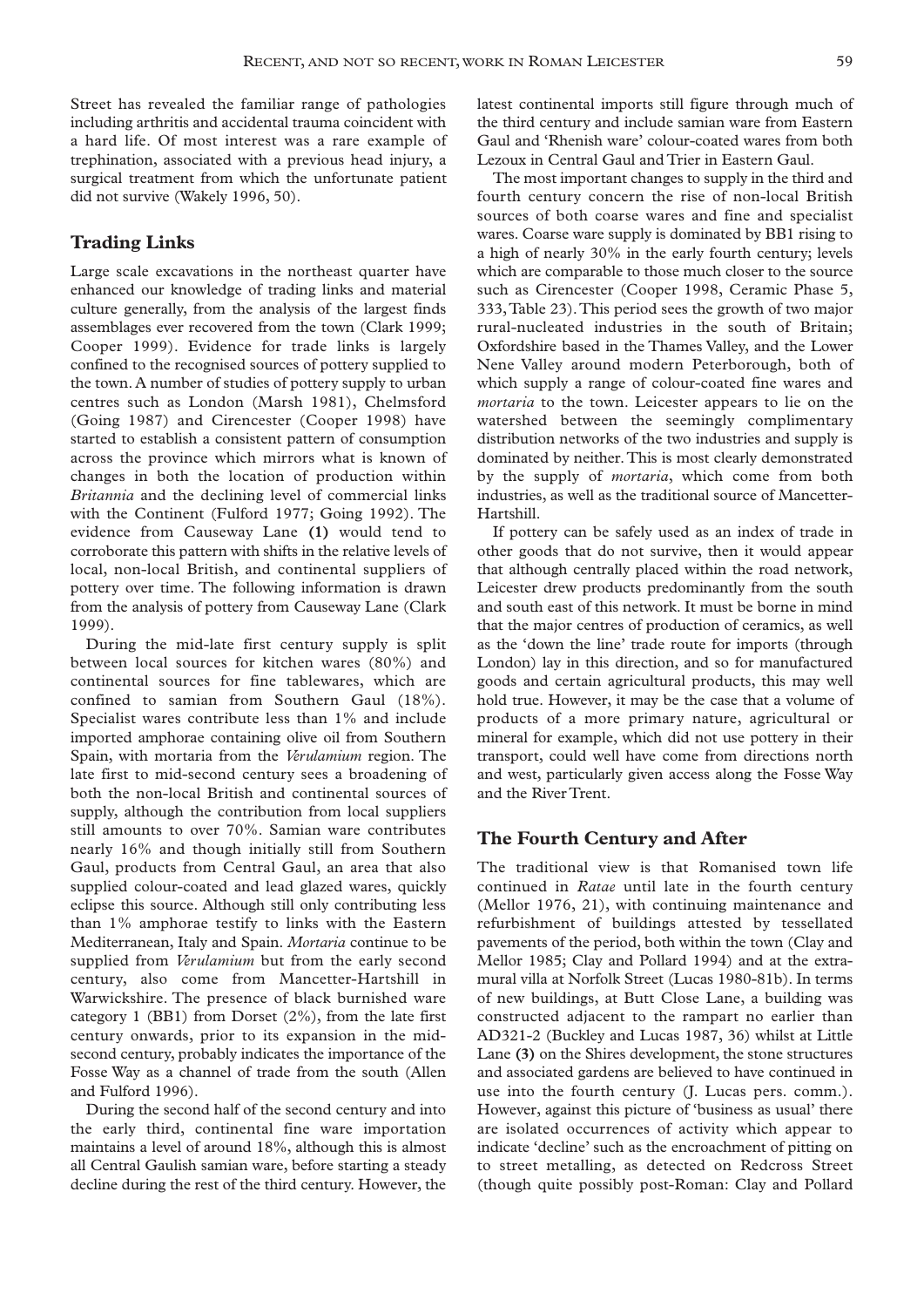Street has revealed the familiar range of pathologies including arthritis and accidental trauma coincident with a hard life. Of most interest was a rare example of trephination, associated with a previous head injury, a surgical treatment from which the unfortunate patient did not survive (Wakely 1996, 50).

## **Trading Links**

Large scale excavations in the northeast quarter have enhanced our knowledge of trading links and material culture generally, from the analysis of the largest finds assemblages ever recovered from the town (Clark 1999; Cooper 1999). Evidence for trade links is largely confined to the recognised sources of pottery supplied to the town. A number of studies of pottery supply to urban centres such as London (Marsh 1981), Chelmsford (Going 1987) and Cirencester (Cooper 1998) have started to establish a consistent pattern of consumption across the province which mirrors what is known of changes in both the location of production within *Britannia* and the declining level of commercial links with the Continent (Fulford 1977; Going 1992). The evidence from Causeway Lane **(1)** would tend to corroborate this pattern with shifts in the relative levels of local, non-local British, and continental suppliers of pottery over time. The following information is drawn from the analysis of pottery from Causeway Lane (Clark 1999).

During the mid-late first century supply is split between local sources for kitchen wares (80%) and continental sources for fine tablewares, which are confined to samian from Southern Gaul (18%). Specialist wares contribute less than 1% and include imported amphorae containing olive oil from Southern Spain, with mortaria from the *Verulamium* region. The late first to mid-second century sees a broadening of both the non-local British and continental sources of supply, although the contribution from local suppliers still amounts to over 70%. Samian ware contributes nearly 16% and though initially still from Southern Gaul, products from Central Gaul, an area that also supplied colour-coated and lead glazed wares, quickly eclipse this source. Although still only contributing less than 1% amphorae testify to links with the Eastern Mediterranean, Italy and Spain. *Mortaria* continue to be supplied from *Verulamium* but from the early second century, also come from Mancetter-Hartshill in Warwickshire. The presence of black burnished ware category 1 (BB1) from Dorset (2%), from the late first century onwards, prior to its expansion in the midsecond century, probably indicates the importance of the Fosse Way as a channel of trade from the south (Allen and Fulford 1996).

During the second half of the second century and into the early third, continental fine ware importation maintains a level of around 18%, although this is almost all Central Gaulish samian ware, before starting a steady decline during the rest of the third century. However, the latest continental imports still figure through much of the third century and include samian ware from Eastern Gaul and 'Rhenish ware' colour-coated wares from both Lezoux in Central Gaul and Trier in Eastern Gaul.

The most important changes to supply in the third and fourth century concern the rise of non-local British sources of both coarse wares and fine and specialist wares. Coarse ware supply is dominated by BB1 rising to a high of nearly 30% in the early fourth century; levels which are comparable to those much closer to the source such as Cirencester (Cooper 1998, Ceramic Phase 5, 333,Table 23).This period sees the growth of two major rural-nucleated industries in the south of Britain; Oxfordshire based in the Thames Valley, and the Lower Nene Valley around modern Peterborough, both of which supply a range of colour-coated fine wares and *mortaria* to the town. Leicester appears to lie on the watershed between the seemingly complimentary distribution networks of the two industries and supply is dominated by neither.This is most clearly demonstrated by the supply of *mortaria*, which come from both industries, as well as the traditional source of Mancetter-Hartshill.

If pottery can be safely used as an index of trade in other goods that do not survive, then it would appear that although centrally placed within the road network, Leicester drew products predominantly from the south and south east of this network. It must be borne in mind that the major centres of production of ceramics, as well as the 'down the line' trade route for imports (through London) lay in this direction, and so for manufactured goods and certain agricultural products, this may well hold true. However, it may be the case that a volume of products of a more primary nature, agricultural or mineral for example, which did not use pottery in their transport, could well have come from directions north and west, particularly given access along the Fosse Way and the River Trent.

#### **The Fourth Century and After**

The traditional view is that Romanised town life continued in *Ratae* until late in the fourth century (Mellor 1976, 21), with continuing maintenance and refurbishment of buildings attested by tessellated pavements of the period, both within the town (Clay and Mellor 1985; Clay and Pollard 1994) and at the extramural villa at Norfolk Street (Lucas 1980-81b). In terms of new buildings, at Butt Close Lane, a building was constructed adjacent to the rampart no earlier than AD321-2 (Buckley and Lucas 1987, 36) whilst at Little Lane **(3)** on the Shires development, the stone structures and associated gardens are believed to have continued in use into the fourth century (J. Lucas pers. comm.). However, against this picture of 'business as usual' there are isolated occurrences of activity which appear to indicate 'decline' such as the encroachment of pitting on to street metalling, as detected on Redcross Street (though quite possibly post-Roman: Clay and Pollard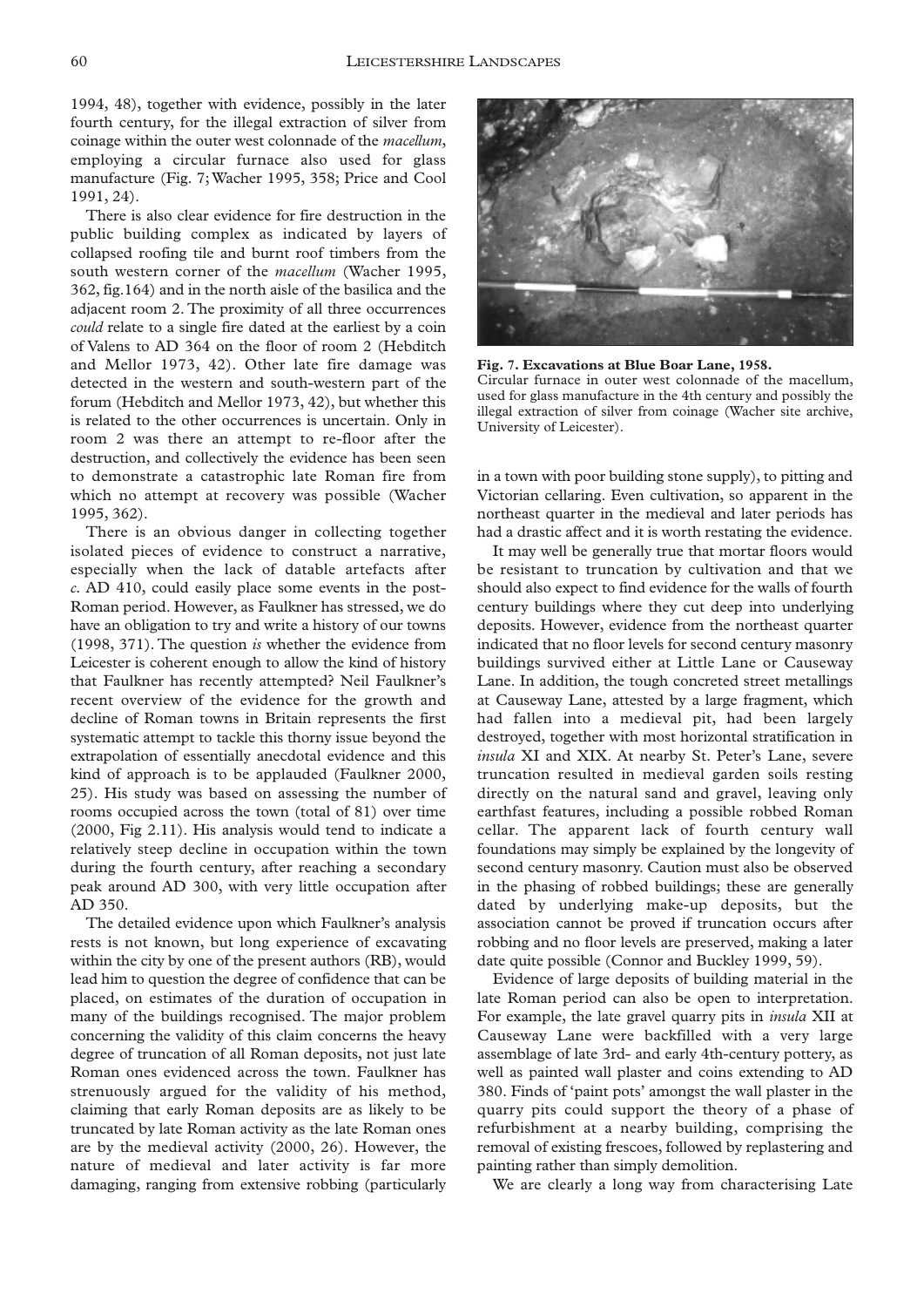1994, 48), together with evidence, possibly in the later fourth century, for the illegal extraction of silver from coinage within the outer west colonnade of the *macellum*, employing a circular furnace also used for glass manufacture (Fig. 7; Wacher 1995, 358; Price and Cool 1991, 24).

There is also clear evidence for fire destruction in the public building complex as indicated by layers of collapsed roofing tile and burnt roof timbers from the south western corner of the *macellum* (Wacher 1995, 362, fig.164) and in the north aisle of the basilica and the adjacent room 2. The proximity of all three occurrences *could* relate to a single fire dated at the earliest by a coin of Valens to AD 364 on the floor of room 2 (Hebditch and Mellor 1973, 42). Other late fire damage was detected in the western and south-western part of the forum (Hebditch and Mellor 1973, 42), but whether this is related to the other occurrences is uncertain. Only in room 2 was there an attempt to re-floor after the destruction, and collectively the evidence has been seen to demonstrate a catastrophic late Roman fire from which no attempt at recovery was possible (Wacher 1995, 362).

There is an obvious danger in collecting together isolated pieces of evidence to construct a narrative, especially when the lack of datable artefacts after *c.* AD 410, could easily place some events in the post-Roman period. However, as Faulkner has stressed, we do have an obligation to try and write a history of our towns (1998, 371). The question *is* whether the evidence from Leicester is coherent enough to allow the kind of history that Faulkner has recently attempted? Neil Faulkner's recent overview of the evidence for the growth and decline of Roman towns in Britain represents the first systematic attempt to tackle this thorny issue beyond the extrapolation of essentially anecdotal evidence and this kind of approach is to be applauded (Faulkner 2000, 25). His study was based on assessing the number of rooms occupied across the town (total of 81) over time (2000, Fig 2.11). His analysis would tend to indicate a relatively steep decline in occupation within the town during the fourth century, after reaching a secondary peak around AD 300, with very little occupation after AD 350.

The detailed evidence upon which Faulkner's analysis rests is not known, but long experience of excavating within the city by one of the present authors (RB), would lead him to question the degree of confidence that can be placed, on estimates of the duration of occupation in many of the buildings recognised. The major problem concerning the validity of this claim concerns the heavy degree of truncation of all Roman deposits, not just late Roman ones evidenced across the town. Faulkner has strenuously argued for the validity of his method, claiming that early Roman deposits are as likely to be truncated by late Roman activity as the late Roman ones are by the medieval activity (2000, 26). However, the nature of medieval and later activity is far more damaging, ranging from extensive robbing (particularly



**Fig. 7. Excavations at Blue Boar Lane, 1958.** Circular furnace in outer west colonnade of the macellum, used for glass manufacture in the 4th century and possibly the illegal extraction of silver from coinage (Wacher site archive, University of Leicester).

in a town with poor building stone supply), to pitting and Victorian cellaring. Even cultivation, so apparent in the northeast quarter in the medieval and later periods has had a drastic affect and it is worth restating the evidence.

It may well be generally true that mortar floors would be resistant to truncation by cultivation and that we should also expect to find evidence for the walls of fourth century buildings where they cut deep into underlying deposits. However, evidence from the northeast quarter indicated that no floor levels for second century masonry buildings survived either at Little Lane or Causeway Lane. In addition, the tough concreted street metallings at Causeway Lane, attested by a large fragment, which had fallen into a medieval pit, had been largely destroyed, together with most horizontal stratification in *insula* XI and XIX. At nearby St. Peter's Lane, severe truncation resulted in medieval garden soils resting directly on the natural sand and gravel, leaving only earthfast features, including a possible robbed Roman cellar. The apparent lack of fourth century wall foundations may simply be explained by the longevity of second century masonry. Caution must also be observed in the phasing of robbed buildings; these are generally dated by underlying make-up deposits, but the association cannot be proved if truncation occurs after robbing and no floor levels are preserved, making a later date quite possible (Connor and Buckley 1999, 59).

Evidence of large deposits of building material in the late Roman period can also be open to interpretation. For example, the late gravel quarry pits in *insula* XII at Causeway Lane were backfilled with a very large assemblage of late 3rd- and early 4th-century pottery, as well as painted wall plaster and coins extending to AD 380. Finds of 'paint pots' amongst the wall plaster in the quarry pits could support the theory of a phase of refurbishment at a nearby building, comprising the removal of existing frescoes, followed by replastering and painting rather than simply demolition.

We are clearly a long way from characterising Late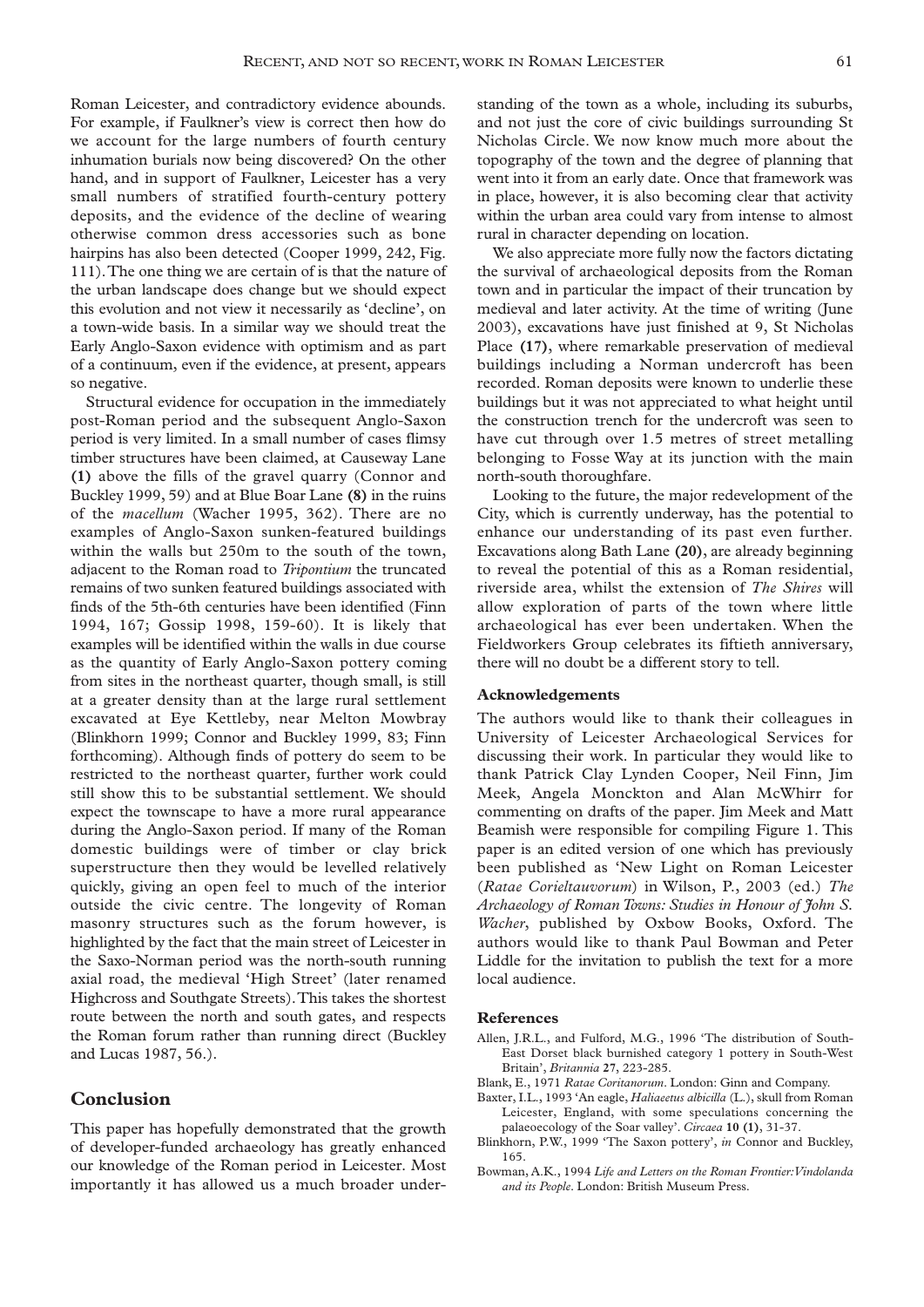Roman Leicester, and contradictory evidence abounds. For example, if Faulkner's view is correct then how do we account for the large numbers of fourth century inhumation burials now being discovered? On the other hand, and in support of Faulkner, Leicester has a very small numbers of stratified fourth-century pottery deposits, and the evidence of the decline of wearing otherwise common dress accessories such as bone hairpins has also been detected (Cooper 1999, 242, Fig. 111).The one thing we are certain of is that the nature of the urban landscape does change but we should expect this evolution and not view it necessarily as 'decline', on a town-wide basis. In a similar way we should treat the Early Anglo-Saxon evidence with optimism and as part of a continuum, even if the evidence, at present, appears so negative.

Structural evidence for occupation in the immediately post-Roman period and the subsequent Anglo-Saxon period is very limited. In a small number of cases flimsy timber structures have been claimed, at Causeway Lane **(1)** above the fills of the gravel quarry (Connor and Buckley 1999, 59) and at Blue Boar Lane **(8)** in the ruins of the *macellum* (Wacher 1995, 362). There are no examples of Anglo-Saxon sunken-featured buildings within the walls but 250m to the south of the town, adjacent to the Roman road to *Tripontium* the truncated remains of two sunken featured buildings associated with finds of the 5th-6th centuries have been identified (Finn 1994, 167; Gossip 1998, 159-60). It is likely that examples will be identified within the walls in due course as the quantity of Early Anglo-Saxon pottery coming from sites in the northeast quarter, though small, is still at a greater density than at the large rural settlement excavated at Eye Kettleby, near Melton Mowbray (Blinkhorn 1999; Connor and Buckley 1999, 83; Finn forthcoming). Although finds of pottery do seem to be restricted to the northeast quarter, further work could still show this to be substantial settlement. We should expect the townscape to have a more rural appearance during the Anglo-Saxon period. If many of the Roman domestic buildings were of timber or clay brick superstructure then they would be levelled relatively quickly, giving an open feel to much of the interior outside the civic centre. The longevity of Roman masonry structures such as the forum however, is highlighted by the fact that the main street of Leicester in the Saxo-Norman period was the north-south running axial road, the medieval 'High Street' (later renamed Highcross and Southgate Streets).This takes the shortest route between the north and south gates, and respects the Roman forum rather than running direct (Buckley and Lucas 1987, 56.).

## **Conclusion**

This paper has hopefully demonstrated that the growth of developer-funded archaeology has greatly enhanced our knowledge of the Roman period in Leicester. Most importantly it has allowed us a much broader understanding of the town as a whole, including its suburbs, and not just the core of civic buildings surrounding St Nicholas Circle. We now know much more about the topography of the town and the degree of planning that went into it from an early date. Once that framework was in place, however, it is also becoming clear that activity within the urban area could vary from intense to almost rural in character depending on location.

We also appreciate more fully now the factors dictating the survival of archaeological deposits from the Roman town and in particular the impact of their truncation by medieval and later activity. At the time of writing (June 2003), excavations have just finished at 9, St Nicholas Place **(17)**, where remarkable preservation of medieval buildings including a Norman undercroft has been recorded. Roman deposits were known to underlie these buildings but it was not appreciated to what height until the construction trench for the undercroft was seen to have cut through over 1.5 metres of street metalling belonging to Fosse Way at its junction with the main north-south thoroughfare.

Looking to the future, the major redevelopment of the City, which is currently underway, has the potential to enhance our understanding of its past even further. Excavations along Bath Lane **(20)**, are already beginning to reveal the potential of this as a Roman residential, riverside area, whilst the extension of *The Shires* will allow exploration of parts of the town where little archaeological has ever been undertaken. When the Fieldworkers Group celebrates its fiftieth anniversary, there will no doubt be a different story to tell.

#### **Acknowledgements**

The authors would like to thank their colleagues in University of Leicester Archaeological Services for discussing their work. In particular they would like to thank Patrick Clay Lynden Cooper, Neil Finn, Jim Meek, Angela Monckton and Alan McWhirr for commenting on drafts of the paper. Jim Meek and Matt Beamish were responsible for compiling Figure 1. This paper is an edited version of one which has previously been published as 'New Light on Roman Leicester (*Ratae Corieltauvorum*) in Wilson, P., 2003 (ed.) *The Archaeology of Roman Towns: Studies in Honour of John S. Wacher*, published by Oxbow Books, Oxford. The authors would like to thank Paul Bowman and Peter Liddle for the invitation to publish the text for a more local audience.

#### **References**

- Allen, J.R.L., and Fulford, M.G., 1996 'The distribution of South-East Dorset black burnished category 1 pottery in South-West Britain', *Britannia* **27**, 223-285.
- Blank, E., 1971 *Ratae Coritanorum*. London: Ginn and Company.
- Baxter, I.L., 1993 'An eagle, *Haliaeetus albicilla* (L.), skull from Roman Leicester, England, with some speculations concerning the palaeoecology of the Soar valley'. *Circaea* **10 (1)**, 31-37.
- Blinkhorn, P.W., 1999 'The Saxon pottery', *in* Connor and Buckley, 165.
- Bowman, A.K., 1994 *Life and Letters on the Roman Frontier:Vindolanda and its People*. London: British Museum Press.